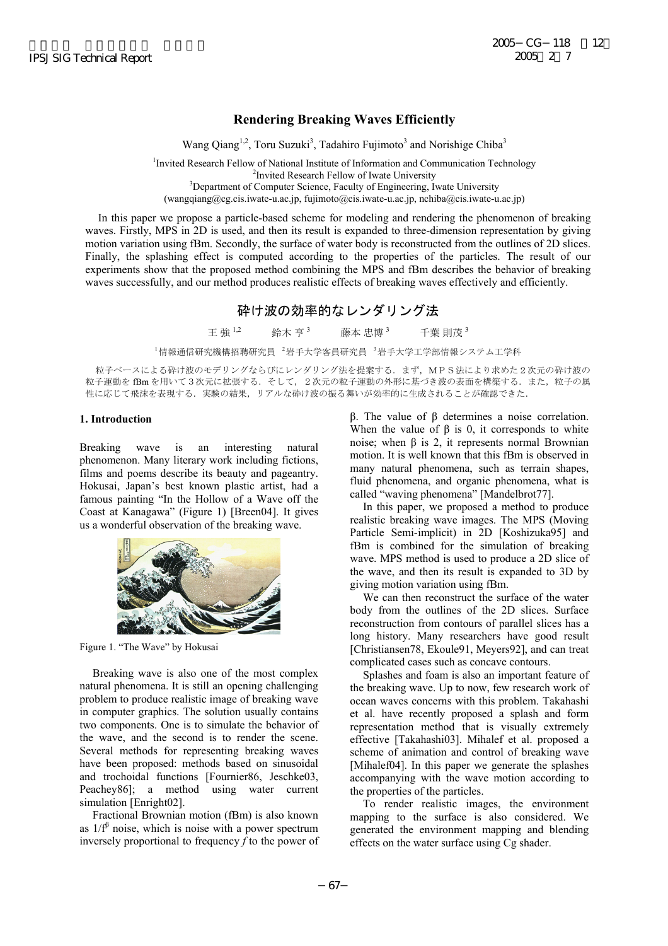# **Rendering Breaking Waves Efficiently**

Wang Qiang<sup>1,2</sup>, Toru Suzuki<sup>3</sup>, Tadahiro Fujimoto<sup>3</sup> and Norishige Chiba<sup>3</sup>

<sup>1</sup> Invited Research Fellow of National Institute of Information and Communication Technology <sup>2</sup> Invited Research Fellow of Iwate University <sup>3</sup>Department of Computer Science, Faculty of Engineering, Iwate University (wangqiang@cg.cis.iwate-u.ac.jp, fujimoto@cis.iwate-u.ac.jp, nchiba@cis.iwate-u.ac.jp)

In this paper we propose a particle-based scheme for modeling and rendering the phenomenon of breaking waves. Firstly, MPS in 2D is used, and then its result is expanded to three-dimension representation by giving motion variation using fBm. Secondly, the surface of water body is reconstructed from the outlines of 2D slices. Finally, the splashing effect is computed according to the properties of the particles. The result of our experiments show that the proposed method combining the MPS and fBm describes the behavior of breaking waves successfully, and our method produces realistic effects of breaking waves effectively and efficiently.

# 砕け波の効率的なレンダリング法

王 強 1,2 鈴木 亨 3 藤本 忠博 <sup>3</sup> 千葉 則茂 <sup>3</sup>

「情報通信研究機構招聘研究員 2岩手大学客員研究員 3岩手大学工学部情報システム工学科

粒子ベースによる砕け波のモデリングならびにレンダリング法を提案する.まず,MPS法により求めた2次元の砕け波の 粒子運動を fBm を用いて3次元に拡張する. そして、2次元の粒子運動の外形に基づき波の表面を構築する.また、粒子の属 性に応じて飛沫を表現する.実験の結果,リアルな砕け波の振る舞いが効率的に生成されることが確認できた.

## **1. Introduction**

Breaking wave is an interesting natural phenomenon. Many literary work including fictions, films and poems describe its beauty and pageantry. Hokusai, Japan's best known plastic artist, had a famous painting "In the Hollow of a Wave off the Coast at Kanagawa" (Figure 1) [Breen04]. It gives us a wonderful observation of the breaking wave.



Figure 1. "The Wave" by Hokusai

Breaking wave is also one of the most complex natural phenomena. It is still an opening challenging problem to produce realistic image of breaking wave in computer graphics. The solution usually contains two components. One is to simulate the behavior of the wave, and the second is to render the scene. Several methods for representing breaking waves have been proposed: methods based on sinusoidal and trochoidal functions [Fournier86, Jeschke03, Peachey86]; a method using water current simulation [Enright02].

Fractional Brownian motion (fBm) is also known as  $1/f^{\beta}$  noise, which is noise with a power spectrum inversely proportional to frequency *f* to the power of β. The value of β determines a noise correlation. When the value of  $\beta$  is 0, it corresponds to white noise; when β is 2, it represents normal Brownian motion. It is well known that this fBm is observed in many natural phenomena, such as terrain shapes, fluid phenomena, and organic phenomena, what is called "waving phenomena" [Mandelbrot77].

In this paper, we proposed a method to produce realistic breaking wave images. The MPS (Moving Particle Semi-implicit) in 2D [Koshizuka95] and fBm is combined for the simulation of breaking wave. MPS method is used to produce a 2D slice of the wave, and then its result is expanded to 3D by giving motion variation using fBm.

We can then reconstruct the surface of the water body from the outlines of the 2D slices. Surface reconstruction from contours of parallel slices has a long history. Many researchers have good result [Christiansen78, Ekoule91, Meyers92], and can treat complicated cases such as concave contours.

Splashes and foam is also an important feature of the breaking wave. Up to now, few research work of ocean waves concerns with this problem. Takahashi et al. have recently proposed a splash and form representation method that is visually extremely effective [Takahashi03]. Mihalef et al. proposed a scheme of animation and control of breaking wave [Mihalef04]. In this paper we generate the splashes accompanying with the wave motion according to the properties of the particles.

To render realistic images, the environment mapping to the surface is also considered. We generated the environment mapping and blending effects on the water surface using Cg shader.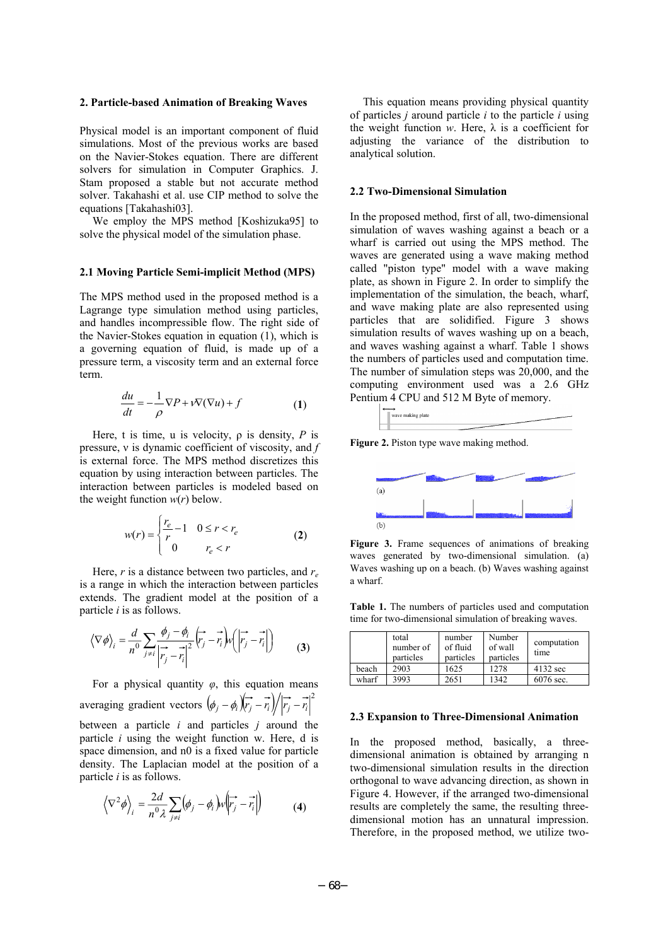#### **2. Particle-based Animation of Breaking Waves**

Physical model is an important component of fluid simulations. Most of the previous works are based on the Navier-Stokes equation. There are different solvers for simulation in Computer Graphics. J. Stam proposed a stable but not accurate method solver. Takahashi et al. use CIP method to solve the equations [Takahashi03].

We employ the MPS method [Koshizuka95] to solve the physical model of the simulation phase.

#### **2.1 Moving Particle Semi-implicit Method (MPS)**

The MPS method used in the proposed method is a Lagrange type simulation method using particles, and handles incompressible flow. The right side of the Navier-Stokes equation in equation (1), which is a governing equation of fluid, is made up of a pressure term, a viscosity term and an external force term.

$$
\frac{du}{dt} = -\frac{1}{\rho} \nabla P + \nu \nabla (\nabla u) + f \tag{1}
$$

Here, t is time, u is velocity,  $\rho$  is density,  $P$  is pressure, ν is dynamic coefficient of viscosity, and *f* is external force. The MPS method discretizes this equation by using interaction between particles. The interaction between particles is modeled based on the weight function  $w(r)$  below.

$$
w(r) = \begin{cases} \frac{r_e}{r} - 1 & 0 \le r < r_e\\ 0 & r_e < r \end{cases} \tag{2}
$$

Here, *r* is a distance between two particles, and *re* is a range in which the interaction between particles extends. The gradient model at the position of a particle *i* is as follows.

$$
\langle \nabla \phi \rangle_i = \frac{d}{n^0} \sum_{j \neq i} \frac{\phi_j - \phi_i}{\left| \vec{r}_j - \vec{r}_i \right|^2} \left( \vec{r}_j - \vec{r}_i \right) w \left( \left| \vec{r}_j - \vec{r}_i \right| \right) \tag{3}
$$

For a physical quantity *φ*, this equation means averaging gradient vectors  $(\phi_j - \phi_i)(\vec{r}_j - \vec{r}_i)/|\vec{r}_j - \vec{r}_i|^2$ between a particle *i* and particles *j* around the particle *i* using the weight function w. Here, d is space dimension, and n0 is a fixed value for particle density. The Laplacian model at the position of a particle *i* is as follows.

$$
\left\langle \nabla^2 \phi \right\rangle_i = \frac{2d}{n^0 \lambda} \sum_{j \neq i} (\phi_j - \phi_i) w \left| \overrightarrow{r_j} - \overrightarrow{r_i} \right| \tag{4}
$$

This equation means providing physical quantity of particles *j* around particle *i* to the particle *i* using the weight function  $w$ . Here,  $\lambda$  is a coefficient for adjusting the variance of the distribution to analytical solution.

#### **2.2 Two-Dimensional Simulation**

In the proposed method, first of all, two-dimensional simulation of waves washing against a beach or a wharf is carried out using the MPS method. The waves are generated using a wave making method called "piston type" model with a wave making plate, as shown in Figure 2. In order to simplify the implementation of the simulation, the beach, wharf, and wave making plate are also represented using particles that are solidified. Figure 3 shows simulation results of waves washing up on a beach, and waves washing against a wharf. Table 1 shows the numbers of particles used and computation time. The number of simulation steps was 20,000, and the computing environment used was a 2.6 GHz Pentium 4 CPU and 512 M Byte of memory.



**Figure 2.** Piston type wave making method.



**Figure 3.** Frame sequences of animations of breaking waves generated by two-dimensional simulation. (a) Waves washing up on a beach. (b) Waves washing against a wharf.

**Table 1.** The numbers of particles used and computation time for two-dimensional simulation of breaking waves.

|       | total<br>number of<br>particles | number<br>of fluid<br>particles | Number<br>of wall<br>particles | computation<br>time |
|-------|---------------------------------|---------------------------------|--------------------------------|---------------------|
| beach | 2903                            | 1625                            | 1278                           | 4132 sec            |
| wharf | 3993                            | 2651                            | 1342                           | 6076 sec.           |

#### **2.3 Expansion to Three-Dimensional Animation**

In the proposed method, basically, a threedimensional animation is obtained by arranging n two-dimensional simulation results in the direction orthogonal to wave advancing direction, as shown in Figure 4. However, if the arranged two-dimensional results are completely the same, the resulting threedimensional motion has an unnatural impression. Therefore, in the proposed method, we utilize two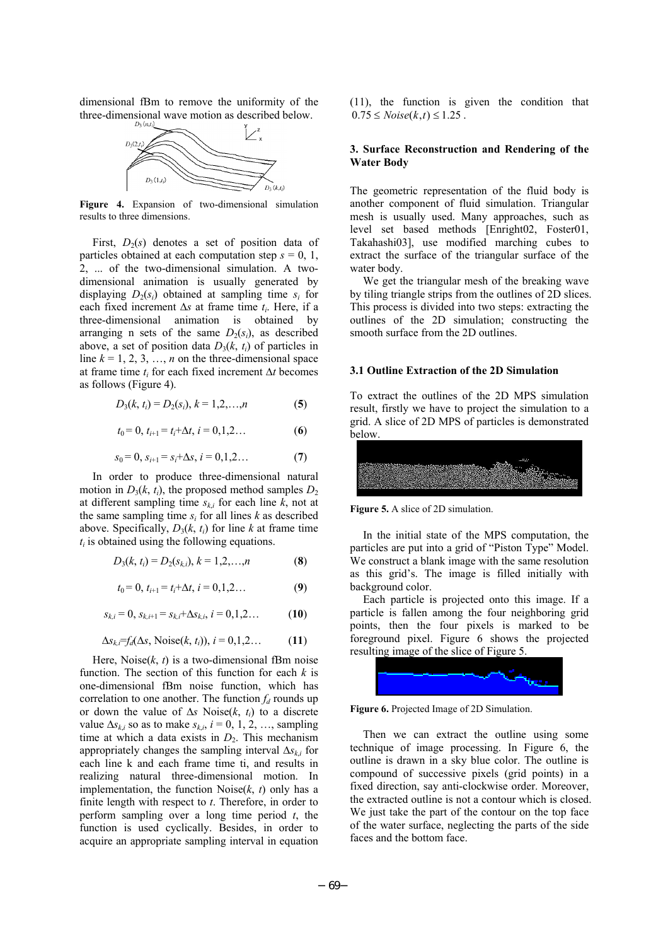dimensional fBm to remove the uniformity of the three-dimensional wave motion as described below.



**Figure 4.** Expansion of two-dimensional simulation results to three dimensions.

First,  $D_2(s)$  denotes a set of position data of particles obtained at each computation step  $s = 0, 1, \ldots$ 2, ... of the two-dimensional simulation. A twodimensional animation is usually generated by displaying  $D_2(s_i)$  obtained at sampling time  $s_i$  for each fixed increment ∆*s* at frame time *ti*. Here, if a three-dimensional animation is obtained by arranging n sets of the same  $D_2(s_i)$ , as described above, a set of position data  $D_3(k, t_i)$  of particles in line  $k = 1, 2, 3, \ldots, n$  on the three-dimensional space at frame time *ti* for each fixed increment ∆*t* becomes as follows (Figure 4).

$$
D_3(k, t_i) = D_2(s_i), k = 1, 2, ..., n
$$
 (5)

$$
t_0 = 0, t_{i+1} = t_i + \Delta t, i = 0, 1, 2... \tag{6}
$$

$$
s_0 = 0, s_{i+1} = s_i + \Delta s, i = 0, 1, 2... \tag{7}
$$

In order to produce three-dimensional natural motion in  $D_3(k, t_i)$ , the proposed method samples  $D_2$ at different sampling time  $s_{ki}$  for each line  $k$ , not at the same sampling time  $s_i$  for all lines  $k$  as described above. Specifically,  $D_3(k, t_i)$  for line *k* at frame time  $t_i$  is obtained using the following equations.

$$
D_3(k, t_i) = D_2(s_{k,i}), k = 1, 2, ..., n
$$
 (8)

$$
t_0 = 0, t_{i+1} = t_i + \Delta t, i = 0, 1, 2... \tag{9}
$$

$$
s_{k,i} = 0, s_{k,i+1} = s_{k,i} + \Delta s_{k,i}, i = 0,1,2...
$$
 (10)

$$
\Delta s_{k,i} = f_d(\Delta s, \text{Noise}(k, t_i)), i = 0, 1, 2... \tag{11}
$$

Here, Noise $(k, t)$  is a two-dimensional fBm noise function. The section of this function for each *k* is one-dimensional fBm noise function, which has correlation to one another. The function  $f_d$  rounds up or down the value of ∆*s* Noise(*k*, *ti*) to a discrete value  $\Delta s_{ki}$  so as to make  $s_{ki}$ ,  $i = 0, 1, 2, \ldots$ , sampling time at which a data exists in  $D_2$ . This mechanism appropriately changes the sampling interval ∆*sk*,*i* for each line k and each frame time ti, and results in realizing natural three-dimensional motion. In implementation, the function  $Noise(k, t)$  only has a finite length with respect to *t*. Therefore, in order to perform sampling over a long time period *t*, the function is used cyclically. Besides, in order to acquire an appropriate sampling interval in equation

(11), the function is given the condition that  $0.75 \leq Noise(k, t) \leq 1.25$ .

### **3. Surface Reconstruction and Rendering of the Water Body**

The geometric representation of the fluid body is another component of fluid simulation. Triangular mesh is usually used. Many approaches, such as level set based methods [Enright02, Foster01, Takahashi03], use modified marching cubes to extract the surface of the triangular surface of the water body.

We get the triangular mesh of the breaking wave by tiling triangle strips from the outlines of 2D slices. This process is divided into two steps: extracting the outlines of the 2D simulation; constructing the smooth surface from the 2D outlines.

## **3.1 Outline Extraction of the 2D Simulation**

To extract the outlines of the 2D MPS simulation result, firstly we have to project the simulation to a grid. A slice of 2D MPS of particles is demonstrated below.



**Figure 5.** A slice of 2D simulation.

In the initial state of the MPS computation, the particles are put into a grid of "Piston Type" Model. We construct a blank image with the same resolution as this grid's. The image is filled initially with background color.

Each particle is projected onto this image. If a particle is fallen among the four neighboring grid points, then the four pixels is marked to be foreground pixel. Figure 6 shows the projected resulting image of the slice of Figure 5.



**Figure 6.** Projected Image of 2D Simulation.

Then we can extract the outline using some technique of image processing. In Figure 6, the outline is drawn in a sky blue color. The outline is compound of successive pixels (grid points) in a fixed direction, say anti-clockwise order. Moreover, the extracted outline is not a contour which is closed. We just take the part of the contour on the top face of the water surface, neglecting the parts of the side faces and the bottom face.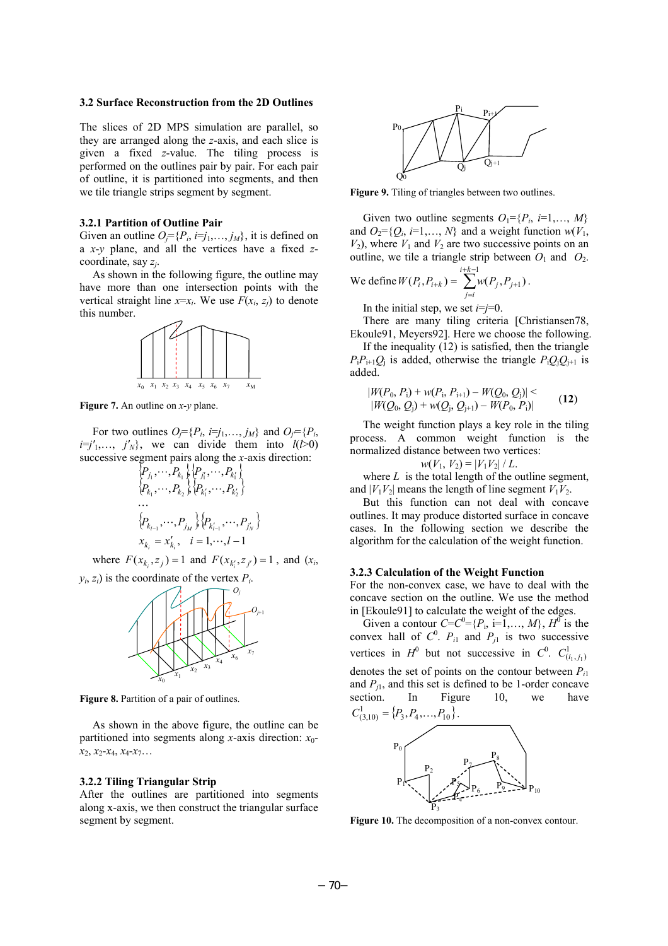#### **3.2 Surface Reconstruction from the 2D Outlines**

The slices of 2D MPS simulation are parallel, so they are arranged along the *z*-axis, and each slice is given a fixed *z*-value. The tiling process is performed on the outlines pair by pair. For each pair of outline, it is partitioned into segments, and then we tile triangle strips segment by segment.

#### **3.2.1 Partition of Outline Pair**

Given an outline  $O_i = \{P_i, i = j_1, \ldots, j_M\}$ , it is defined on a *x*-*y* plane, and all the vertices have a fixed *z*coordinate, say *zj*.

As shown in the following figure, the outline may have more than one intersection points with the vertical straight line  $x=x_i$ . We use  $F(x_i, z_j)$  to denote this number.



**Figure 7.** An outline on *x*-*y* plane.

For two outlines  $O_j = \{P_i, i = j_1, \ldots, j_M\}$  and  $O_j = \{P_i, i = j_1, \ldots, j_M\}$  $i=j'_{1},..., j'_{N}$ , we can divide them into  $l(\overline{l>0})$ successive segment pairs along the *x*-axis direction:

$$
\begin{aligned} &\left\{P_{j_1}, \cdots, P_{k_1} \right\} \left\{P_{j'_1}, \cdots, P_{k'_1} \right\} \\ &\left\{P_{k_1}, \cdots, P_{k_2} \right\} \left\{P_{k'_1}, \cdots, P_{k'_2} \right\} \\ &\vdots \\ &\left\{P_{k_{l-1}}, \cdots, P_{j_M} \right\} \left\{P_{k'_{l-1}}, \cdots, P_{j'_M} \right\} \\ &x_{k_i} = x'_{k_i}, \quad i = 1, \cdots, l-1 \end{aligned}
$$

where  $F(x_k, z_i) = 1$  and  $F(x_{k_i}, z_{i_i}) = 1$ , and  $(x_i, z_{i_i}) = 1$ 





**Figure 8.** Partition of a pair of outlines.

As shown in the above figure, the outline can be partitioned into segments along *x*-axis direction: *x*0  $x_2, x_2-x_4, x_4-x_7...$ 

#### **3.2.2 Tiling Triangular Strip**

After the outlines are partitioned into segments along x-axis, we then construct the triangular surface segment by segment.



**Figure 9.** Tiling of triangles between two outlines.

Given two outline segments  $O_1 = \{P_i, i=1,\ldots,M\}$ and  $O_2 = \{Q_i, i=1,\ldots,N\}$  and a weight function  $w(V_1,$  $V_2$ ), where  $V_1$  and  $V_2$  are two successive points on an outline, we tile a triangle strip between  $O_1$  and  $O_2$ .  $+k-$ 1 *i k*

We define 
$$
W(P_i, P_{i+k}) = \sum_{j=i}^{i+k-1} w(P_j, P_{j+1})
$$
.

In the initial step, we set  $i=j=0$ .

There are many tiling criteria [Christiansen78, Ekoule91, Meyers92]. Here we choose the following.

If the inequality (12) is satisfied, then the triangle  $P_i P_{i+1} Q_i$  is added, otherwise the triangle  $P_i Q_i Q_{i+1}$  is added.

$$
|W(P_0, P_i) + w(P_i, P_{i+1}) - W(Q_0, Q_i)| < |W(Q_0, Q_i) + w(Q_i, Q_{i+1}) - W(P_0, P_i)|
$$
\n(12)

The weight function plays a key role in the tiling process. A common weight function is the normalized distance between two vertices:

$$
w(V_1, V_2) = |V_1V_2| / L.
$$

where  $L$  is the total length of the outline segment, and  $|V_1V_2|$  means the length of line segment  $V_1V_2$ .

But this function can not deal with concave outlines. It may produce distorted surface in concave cases. In the following section we describe the algorithm for the calculation of the weight function.

#### **3.2.3 Calculation of the Weight Function**

For the non-convex case, we have to deal with the concave section on the outline. We use the method in [Ekoule91] to calculate the weight of the edges.

Given a contour  $C = C^0 = \{P_1, i = 1, ..., M\}$ ,  $H^0$  is the convex hall of  $C^0$ .  $P_{i1}$  and  $P_{j1}$  is two successive vertices in  $H^0$  but not successive in  $C^0$ .  $C^1_{(i_1,j_1)}$ denotes the set of points on the contour between *P i*1 and  $P_{i1}$ , and this set is defined to be 1-order concave section. In Figure 10, we have  $C_{(3,10)}^1 = \{P_3, P_4, \ldots, P_{10}\}.$  $P_0$  $P<sub>2</sub>$  $P_2$  $P_8$ 



 $P_9 \rightarrow P_{10}$ 

 ${\mathsf P}_4$  $\mathbb{P}_{\mathbb{Z}}$  P<sub>6</sub>

 $P_1$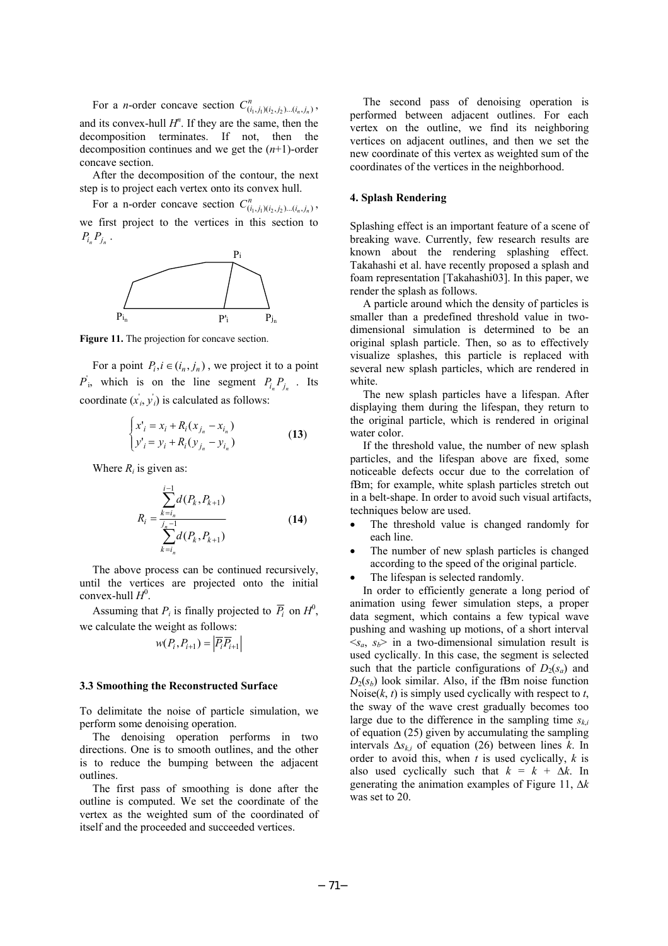For a *n*-order concave section  $C_{(i_1,j_1)(i_2,j_2)\dots(i_n,j_n)}^n$ , and its convex-hull  $H<sup>n</sup>$ . If they are the same, then the decomposition terminates. If not, then the decomposition continues and we get the (*n*+1)-order concave section.

After the decomposition of the contour, the next step is to project each vertex onto its convex hull.

For a n-order concave section  $C_{(i_1, j_1)(i_2, j_2)\dots(i_n, j_n)}^n$ , we first project to the vertices in this section to  $P_{i_n} P_{j_n}$ .



Figure 11. The projection for concave section.

For a point  $P_i$ ,  $i \in (i_n, j_n)$ , we project it to a point  $P'$ <sup>*i*</sup>, which is on the line segment  $P_{i_n}P_{j_n}$ . Its coordinate  $(x_i, y_i)$  is calculated as follows:

$$
\begin{cases} x'_{i} = x_{i} + R_{i}(x_{j_{n}} - x_{i_{n}}) \\ y'_{i} = y_{i} + R_{i}(y_{j_{n}} - y_{i_{n}}) \end{cases}
$$
 (13)

Where  $R_i$  is given as:

$$
R_{i} = \frac{\sum_{k=i_{n}}^{i-1} d(P_{k}, P_{k+1})}{\sum_{k=i_{n}}^{j_{n}-1} d(P_{k}, P_{k+1})}
$$
(14)

The above process can be continued recursively, until the vertices are projected onto the initial  $convex$ -hull  $H^0$ .

Assuming that  $P_i$  is finally projected to  $\overline{P}_i$  on  $H^0$ , we calculate the weight as follows:

$$
w(P_i, P_{i+1}) = \left| \overline{P}_i \overline{P}_{i+1} \right|
$$

#### **3.3 Smoothing the Reconstructed Surface**

To delimitate the noise of particle simulation, we perform some denoising operation.

The denoising operation performs in two directions. One is to smooth outlines, and the other is to reduce the bumping between the adjacent outlines.

The first pass of smoothing is done after the outline is computed. We set the coordinate of the vertex as the weighted sum of the coordinated of itself and the proceeded and succeeded vertices.

The second pass of denoising operation is performed between adjacent outlines. For each vertex on the outline, we find its neighboring vertices on adjacent outlines, and then we set the new coordinate of this vertex as weighted sum of the coordinates of the vertices in the neighborhood.

## **4. Splash Rendering**

Splashing effect is an important feature of a scene of breaking wave. Currently, few research results are known about the rendering splashing effect. Takahashi et al. have recently proposed a splash and foam representation [Takahashi03]. In this paper, we render the splash as follows.

A particle around which the density of particles is smaller than a predefined threshold value in twodimensional simulation is determined to be an original splash particle. Then, so as to effectively visualize splashes, this particle is replaced with several new splash particles, which are rendered in white.

The new splash particles have a lifespan. After displaying them during the lifespan, they return to the original particle, which is rendered in original water color.

If the threshold value, the number of new splash particles, and the lifespan above are fixed, some noticeable defects occur due to the correlation of fBm; for example, white splash particles stretch out in a belt-shape. In order to avoid such visual artifacts, techniques below are used.

- The threshold value is changed randomly for each line.
- The number of new splash particles is changed according to the speed of the original particle.
- The lifespan is selected randomly.

In order to efficiently generate a long period of animation using fewer simulation steps, a proper data segment, which contains a few typical wave pushing and washing up motions, of a short interval  $\langle s_a, s_b \rangle$  in a two-dimensional simulation result is used cyclically. In this case, the segment is selected such that the particle configurations of  $D_2(s_a)$  and  $D_2(s_b)$  look similar. Also, if the fBm noise function Noise $(k, t)$  is simply used cyclically with respect to  $t$ , the sway of the wave crest gradually becomes too large due to the difference in the sampling time  $s_{k,i}$ of equation (25) given by accumulating the sampling intervals  $\Delta s_{ki}$  of equation (26) between lines *k*. In order to avoid this, when *t* is used cyclically, *k* is also used cyclically such that  $k = k + \Delta k$ . In generating the animation examples of Figure 11, ∆*k* was set to 20.